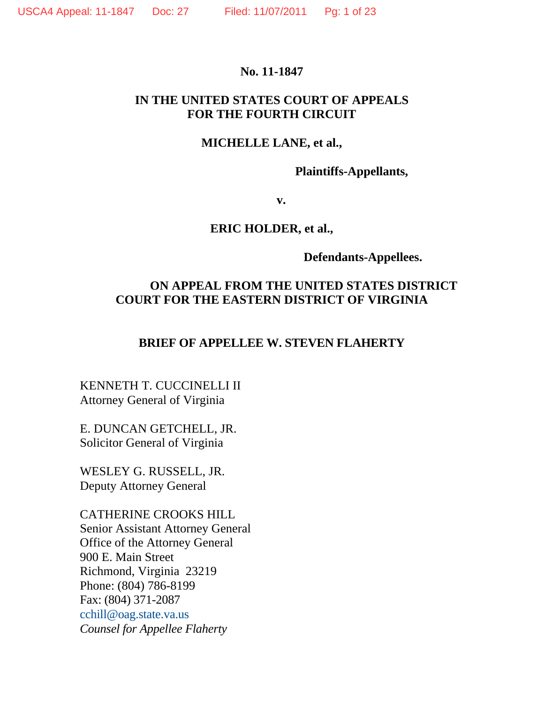### **No. 11-1847**

## **IN THE UNITED STATES COURT OF APPEALS FOR THE FOURTH CIRCUIT**

## **MICHELLE LANE, et al.,**

**Plaintiffs-Appellants,** 

**v. v.** 

### **ERIC HOLDER, et al.,**

 **Defendants-Appellees.** 

## **ON APPEAL FROM THE UNITED STATES DISTRICT COURT FOR THE EASTERN DISTRICT OF VIRGINIA**

## **BRIEF OF APPELLEE W. STEVEN FLAHERTY**

KENNETH T. CUCCINELLI II Attorney General of Virginia

E. DUNCAN GETCHELL, JR. Solicitor General of Virginia

WESLEY G. RUSSELL, JR. Deputy Attorney General

CATHERINE CROOKS HILL Senior Assistant Attorney General Office of the Attorney General 900 E. Main Street Richmond, Virginia 23219 Phone: (804) 786-8199 Fax: (804) 371-2087 cchill@oag.state.va.us *Counsel for Appellee Flaherty*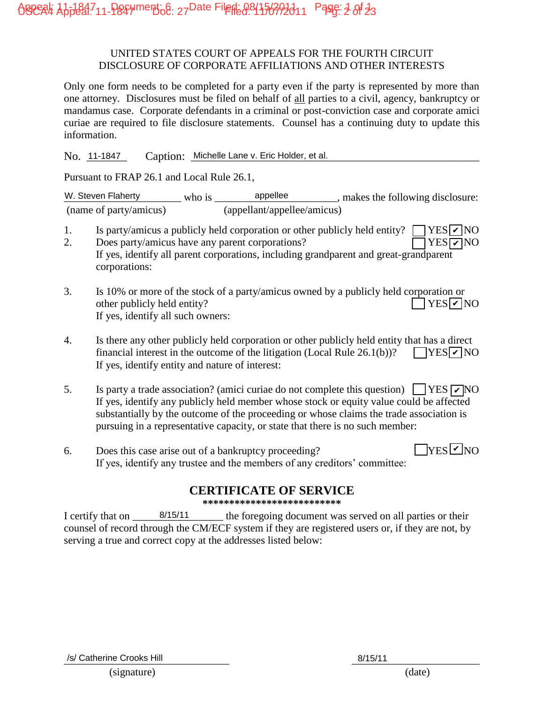#### UNITED STATES COURT OF APPEALS FOR THE FOURTH CIRCUIT DISCLOSURE OF CORPORATE AFFILIATIONS AND OTHER INTERESTS

Only one form needs to be completed for a party even if the party is represented by more than one attorney. Disclosures must be filed on behalf of all parties to a civil, agency, bankruptcy or mandamus case. Corporate defendants in a criminal or post-conviction case and corporate amici curiae are required to file disclosure statements. Counsel has a continuing duty to update this information.

Caption: Michelle Lane v. Eric Holder, et al. No. 11-1847

Pursuant to FRAP 26.1 and Local Rule 26.1,

W. Steven Flaherty  $\omega$  who is appellee and makes the following disclosure: (name of party/amicus) (appellant/appellee/amicus)

- 1. Is party/amicus a publicly held corporation or other publicly held entity?  $\Box$  YES  $\Box$  NO
- 2. Does party/amicus have any parent corporations? If yes, identify all parent corporations, including grandparent and great-grandparent corporations: **YES** <del>⊘</del>NO
- 3. Is 10% or more of the stock of a party/amicus owned by a publicly held corporation or other publicly held entity? If yes, identify all such owners: YES<sub>V</sub> NO
- 4. Is there any other publicly held corporation or other publicly held entity that has a direct financial interest in the outcome of the litigation (Local Rule  $26.1(b)$ )? If yes, identify entity and nature of interest:  $\Box$ YES $\neg$ NO
- 5. Is party a trade association? (amici curiae do not complete this question)  $\Box$  YES  $\neg$  NO If yes, identify any publicly held member whose stock or equity value could be affected substantially by the outcome of the proceeding or whose claims the trade association is pursuing in a representative capacity, or state that there is no such member: No.  $\frac{11+1947}{2}$  Caption: Michelle Lane v. Eric Holder, et al.<br>
Purssiant to FRAP 26.1 and Local Rule 26.1,<br>
26. Steven Flaherty<br>
(name of party/amicus and appelled and copression or other publicly held entity? The Ste
- 6. Does this case arise out of a bankruptcy proceeding? If yes, identify any trustee and the members of any creditors' committee:  $\sqrt{\text{YES}}$  NO

## **CERTIFICATE OF SERVICE**

**\*\*\*\*\*\*\*\*\*\*\*\*\*\*\*\*\*\*\*\*\*\*\*\*\*\***

I certify that on  $\frac{8}{15/11}$  the foregoing document was served on all parties or their counsel of record through the CM/ECF system if they are registered users or, if they are not, by serving a true and correct copy at the addresses listed below: 8/15/11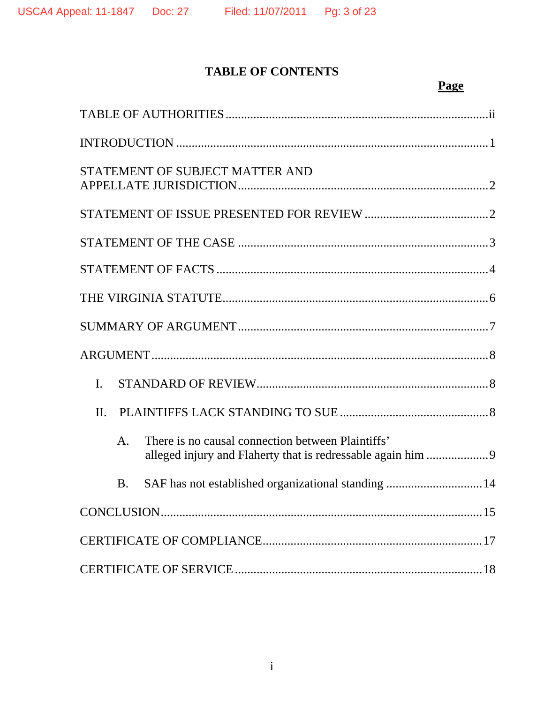# **TABLE OF CONTENTS**

# **Page**

| STATEMENT OF SUBJECT MATTER AND                                                                                                    |
|------------------------------------------------------------------------------------------------------------------------------------|
|                                                                                                                                    |
|                                                                                                                                    |
|                                                                                                                                    |
|                                                                                                                                    |
|                                                                                                                                    |
|                                                                                                                                    |
| I.                                                                                                                                 |
| $\Pi$ .                                                                                                                            |
| There is no causal connection between Plaintiffs'<br>$\mathsf{A}$ .<br>alleged injury and Flaherty that is redressable again him 9 |
| SAF has not established organizational standing  14<br><b>B.</b>                                                                   |
|                                                                                                                                    |
|                                                                                                                                    |
|                                                                                                                                    |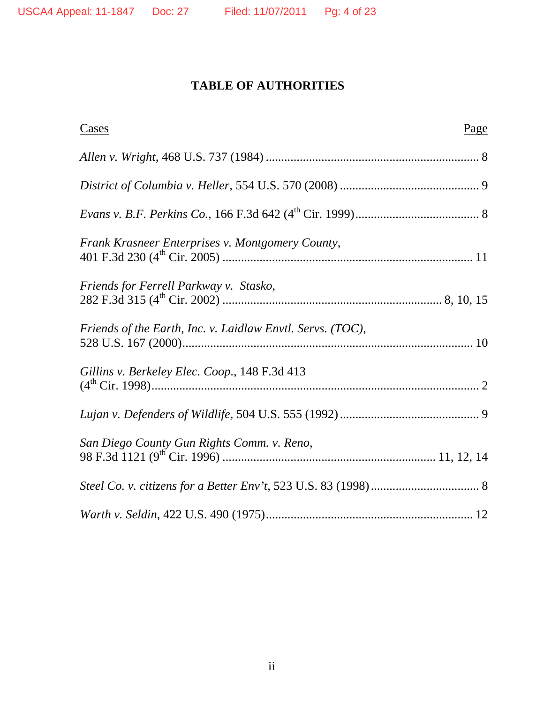# **TABLE OF AUTHORITIES**

| <u>Cases</u>                                               | Page |
|------------------------------------------------------------|------|
|                                                            |      |
|                                                            |      |
|                                                            |      |
| Frank Krasneer Enterprises v. Montgomery County,           |      |
| Friends for Ferrell Parkway v. Stasko,                     |      |
| Friends of the Earth, Inc. v. Laidlaw Envtl. Servs. (TOC), |      |
| Gillins v. Berkeley Elec. Coop., 148 F.3d 413              |      |
|                                                            |      |
| San Diego County Gun Rights Comm. v. Reno,                 |      |
|                                                            |      |
|                                                            |      |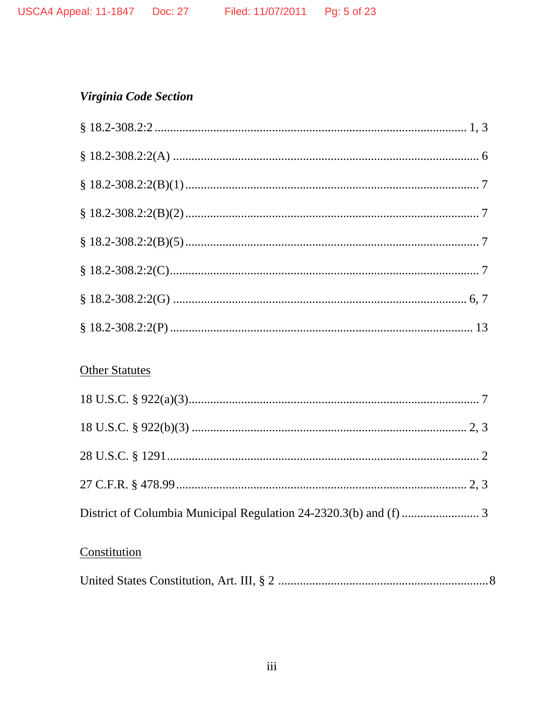# Virginia Code Section

# **Other Statutes**

# Constitution

|--|--|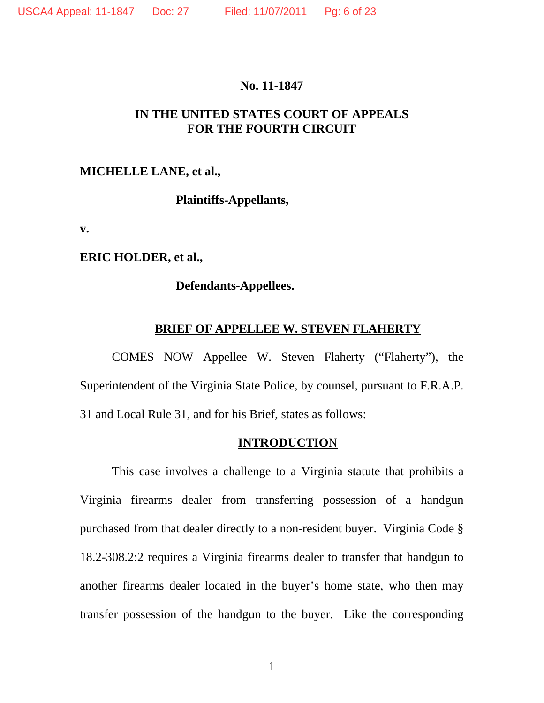#### **No. 11-1847**

## **IN THE UNITED STATES COURT OF APPEALS FOR THE FOURTH CIRCUIT**

### **MICHELLE LANE, et al.,**

**Plaintiffs-Appellants,** 

**v.** 

**ERIC HOLDER, et al.,** 

### **Defendants-Appellees.**

### **BRIEF OF APPELLEE W. STEVEN FLAHERTY**

COMES NOW Appellee W. Steven Flaherty ("Flaherty"), the Superintendent of the Virginia State Police, by counsel, pursuant to F.R.A.P. 31 and Local Rule 31, and for his Brief, states as follows:

### **INTRODUCTIO**N

This case involves a challenge to a Virginia statute that prohibits a Virginia firearms dealer from transferring possession of a handgun purchased from that dealer directly to a non-resident buyer. Virginia Code § 18.2-308.2:2 requires a Virginia firearms dealer to transfer that handgun to another firearms dealer located in the buyer's home state, who then may transfer possession of the handgun to the buyer. Like the corresponding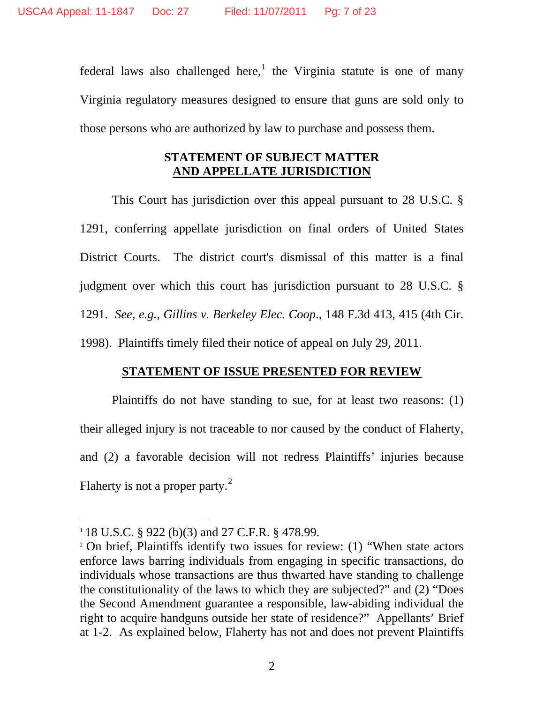federal laws also challenged here,<sup>1</sup> the Virginia statute is one of many Virginia regulatory measures designed to ensure that guns are sold only to those persons who are authorized by law to purchase and possess them.

## **STATEMENT OF SUBJECT MATTER AND APPELLATE JURISDICTION**

 This Court has jurisdiction over this appeal pursuant to 28 U.S.C. § 1291, conferring appellate jurisdiction on final orders of United States District Courts. The district court's dismissal of this matter is a final judgment over which this court has jurisdiction pursuant to 28 U.S.C. § 1291. *See, e.g., Gillins v. Berkeley Elec. Coop*., 148 F.3d 413, 415 (4th Cir. 1998). Plaintiffs timely filed their notice of appeal on July 29, 2011.

## **STATEMENT OF ISSUE PRESENTED FOR REVIEW**

Plaintiffs do not have standing to sue, for at least two reasons: (1) their alleged injury is not traceable to nor caused by the conduct of Flaherty, and (2) a favorable decision will not redress Plaintiffs' injuries because Flaherty is not a proper party. $^{2}$ 

<sup>&</sup>lt;sup>1</sup> 18 U.S.C. § 922 (b)(3) and 27 C.F.R. § 478.99.<br><sup>2</sup> On brief, Plaintiffs identify two issues for review: (1) "When state actors enforce laws barring individuals from engaging in specific transactions, do individuals whose transactions are thus thwarted have standing to challenge the constitutionality of the laws to which they are subjected?" and (2) "Does the Second Amendment guarantee a responsible, law-abiding individual the right to acquire handguns outside her state of residence?" Appellants' Brief at 1-2. As explained below, Flaherty has not and does not prevent Plaintiffs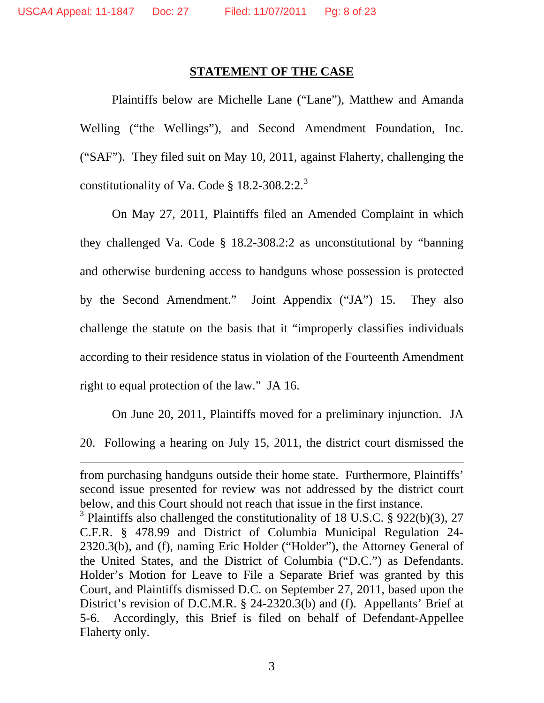$\overline{a}$ 

#### **STATEMENT OF THE CASE**

Plaintiffs below are Michelle Lane ("Lane"), Matthew and Amanda Welling ("the Wellings"), and Second Amendment Foundation, Inc. ("SAF"). They filed suit on May 10, 2011, against Flaherty, challenging the constitutionality of Va. Code § 18.2-308.2:2.<sup>3</sup>

 On May 27, 2011, Plaintiffs filed an Amended Complaint in which they challenged Va. Code § 18.2-308.2:2 as unconstitutional by "banning and otherwise burdening access to handguns whose possession is protected by the Second Amendment." Joint Appendix ("JA") 15. They also challenge the statute on the basis that it "improperly classifies individuals according to their residence status in violation of the Fourteenth Amendment right to equal protection of the law." JA 16.

On June 20, 2011, Plaintiffs moved for a preliminary injunction. JA 20. Following a hearing on July 15, 2011, the district court dismissed the

from purchasing handguns outside their home state. Furthermore, Plaintiffs' second issue presented for review was not addressed by the district court below, and this Court should not reach that issue in the first instance.

<sup>&</sup>lt;sup>3</sup> Plaintiffs also challenged the constitutionality of 18 U.S.C. § 922(b)(3), 27 C.F.R. § 478.99 and District of Columbia Municipal Regulation 24- 2320.3(b), and (f), naming Eric Holder ("Holder"), the Attorney General of the United States, and the District of Columbia ("D.C.") as Defendants. Holder's Motion for Leave to File a Separate Brief was granted by this Court, and Plaintiffs dismissed D.C. on September 27, 2011, based upon the District's revision of D.C.M.R. § 24-2320.3(b) and (f). Appellants' Brief at 5-6. Accordingly, this Brief is filed on behalf of Defendant-Appellee Flaherty only.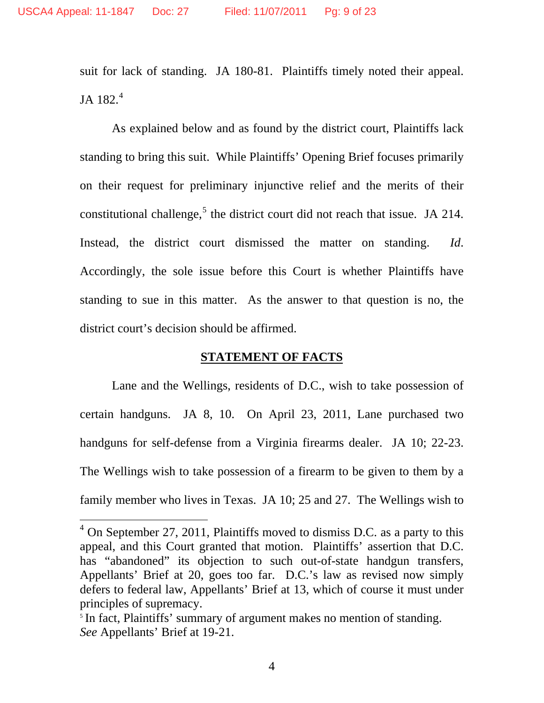suit for lack of standing. JA 180-81. Plaintiffs timely noted their appeal. JA 182. $4$ 

As explained below and as found by the district court, Plaintiffs lack standing to bring this suit. While Plaintiffs' Opening Brief focuses primarily on their request for preliminary injunctive relief and the merits of their constitutional challenge,<sup>5</sup> the district court did not reach that issue. JA 214. Instead, the district court dismissed the matter on standing. *Id*. Accordingly, the sole issue before this Court is whether Plaintiffs have standing to sue in this matter. As the answer to that question is no, the district court's decision should be affirmed.

## **STATEMENT OF FACTS**

Lane and the Wellings, residents of D.C., wish to take possession of certain handguns. JA 8, 10. On April 23, 2011, Lane purchased two handguns for self-defense from a Virginia firearms dealer. JA 10; 22-23. The Wellings wish to take possession of a firearm to be given to them by a family member who lives in Texas. JA 10; 25 and 27. The Wellings wish to

 $4$  On September 27, 2011, Plaintiffs moved to dismiss D.C. as a party to this appeal, and this Court granted that motion. Plaintiffs' assertion that D.C. has "abandoned" its objection to such out-of-state handgun transfers, Appellants' Brief at 20, goes too far. D.C.'s law as revised now simply defers to federal law, Appellants' Brief at 13, which of course it must under principles of supremacy.

<sup>&</sup>lt;sup>5</sup> In fact, Plaintiffs' summary of argument makes no mention of standing. *See* Appellants' Brief at 19-21.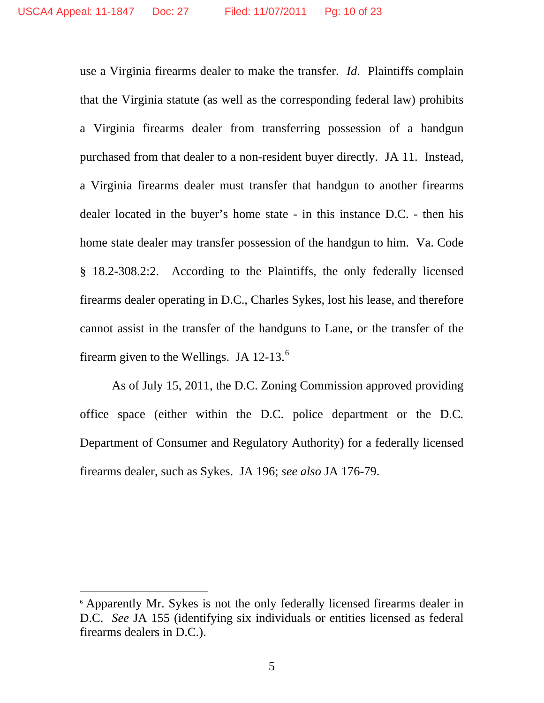use a Virginia firearms dealer to make the transfer. *Id*. Plaintiffs complain that the Virginia statute (as well as the corresponding federal law) prohibits a Virginia firearms dealer from transferring possession of a handgun purchased from that dealer to a non-resident buyer directly. JA 11. Instead, a Virginia firearms dealer must transfer that handgun to another firearms dealer located in the buyer's home state - in this instance D.C. - then his home state dealer may transfer possession of the handgun to him. Va. Code § 18.2-308.2:2. According to the Plaintiffs, the only federally licensed firearms dealer operating in D.C., Charles Sykes, lost his lease, and therefore cannot assist in the transfer of the handguns to Lane, or the transfer of the firearm given to the Wellings. JA  $12-13$ .<sup>6</sup>

As of July 15, 2011, the D.C. Zoning Commission approved providing office space (either within the D.C. police department or the D.C. Department of Consumer and Regulatory Authority) for a federally licensed firearms dealer, such as Sykes. JA 196; *see also* JA 176-79.

<sup>6</sup> Apparently Mr. Sykes is not the only federally licensed firearms dealer in D.C. *See* JA 155 (identifying six individuals or entities licensed as federal firearms dealers in D.C.).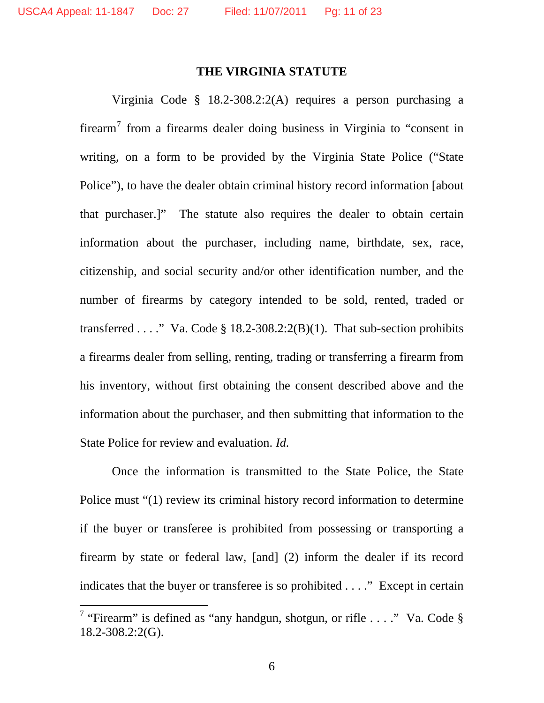$\overline{a}$ 

#### **THE VIRGINIA STATUTE**

Virginia Code § 18.2-308.2:2(A) requires a person purchasing a firearm<sup>7</sup> from a firearms dealer doing business in Virginia to "consent in writing, on a form to be provided by the Virginia State Police ("State Police"), to have the dealer obtain criminal history record information [about that purchaser.]" The statute also requires the dealer to obtain certain information about the purchaser, including name, birthdate, sex, race, citizenship, and social security and/or other identification number, and the number of firearms by category intended to be sold, rented, traded or transferred . . . ." Va. Code  $\S$  18.2-308.2:2(B)(1). That sub-section prohibits a firearms dealer from selling, renting, trading or transferring a firearm from his inventory, without first obtaining the consent described above and the information about the purchaser, and then submitting that information to the State Police for review and evaluation. *Id.*

 Once the information is transmitted to the State Police, the State Police must "(1) review its criminal history record information to determine if the buyer or transferee is prohibited from possessing or transporting a firearm by state or federal law, [and] (2) inform the dealer if its record indicates that the buyer or transferee is so prohibited . . . ." Except in certain

<sup>&</sup>lt;sup>7</sup> "Firearm" is defined as "any handgun, shotgun, or rifle . . . ." Va. Code  $\S$ 18.2-308.2:2(G).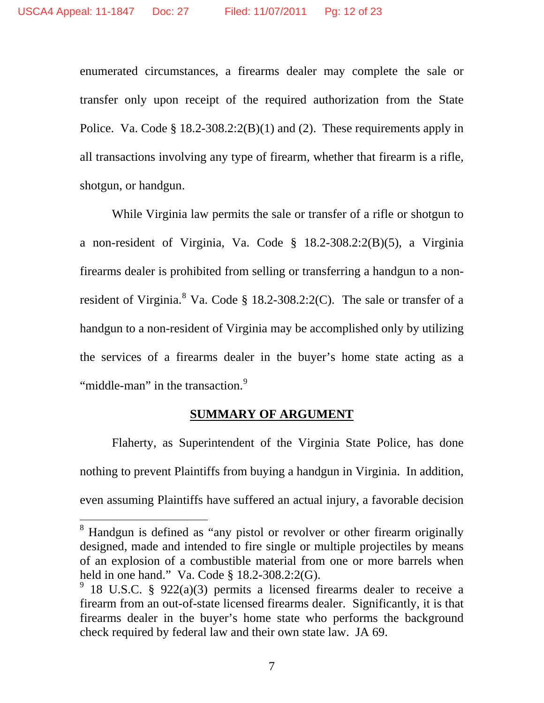enumerated circumstances, a firearms dealer may complete the sale or transfer only upon receipt of the required authorization from the State Police. Va. Code § 18.2-308.2:2(B)(1) and (2).These requirements apply in all transactions involving any type of firearm, whether that firearm is a rifle, shotgun, or handgun.

 While Virginia law permits the sale or transfer of a rifle or shotgun to a non-resident of Virginia, Va. Code § 18.2-308.2:2(B)(5), a Virginia firearms dealer is prohibited from selling or transferring a handgun to a nonresident of Virginia.<sup>8</sup> Va. Code  $\S$  18.2-308.2:2(C). The sale or transfer of a handgun to a non-resident of Virginia may be accomplished only by utilizing the services of a firearms dealer in the buyer's home state acting as a "middle-man" in the transaction.<sup>9</sup>

## **SUMMARY OF ARGUMENT**

 Flaherty, as Superintendent of the Virginia State Police, has done nothing to prevent Plaintiffs from buying a handgun in Virginia. In addition, even assuming Plaintiffs have suffered an actual injury, a favorable decision

<sup>&</sup>lt;sup>8</sup> Handgun is defined as "any pistol or revolver or other firearm originally designed, made and intended to fire single or multiple projectiles by means of an explosion of a combustible material from one or more barrels when held in one hand." Va. Code § 18.2-308.2:2(G).

 $9$  18 U.S.C. § 922(a)(3) permits a licensed firearms dealer to receive a firearm from an out-of-state licensed firearms dealer. Significantly, it is that firearms dealer in the buyer's home state who performs the background check required by federal law and their own state law. JA 69.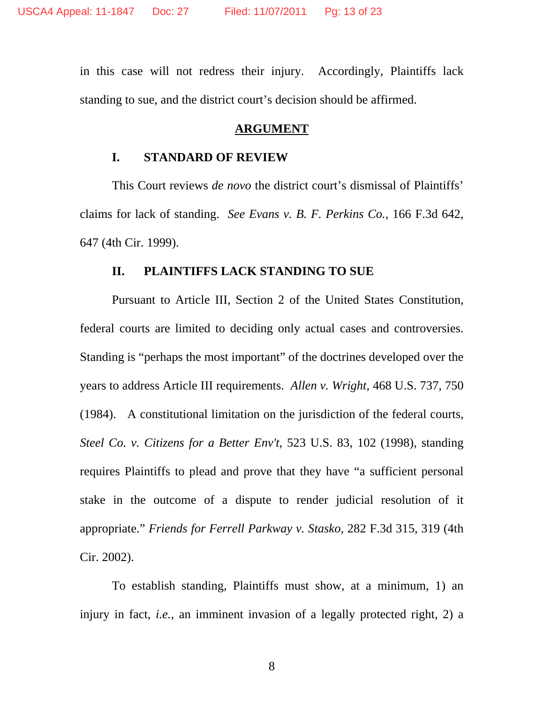in this case will not redress their injury. Accordingly, Plaintiffs lack standing to sue, and the district court's decision should be affirmed.

### **ARGUMENT**

#### **I. STANDARD OF REVIEW**

 This Court reviews *de novo* the district court's dismissal of Plaintiffs' claims for lack of standing. *See Evans v. B. F. Perkins Co.*, 166 F.3d 642, 647 (4th Cir. 1999).

### **II. PLAINTIFFS LACK STANDING TO SUE**

Pursuant to Article III, Section 2 of the United States Constitution, federal courts are limited to deciding only actual cases and controversies. Standing is "perhaps the most important" of the doctrines developed over the years to address Article III requirements. *Allen v. Wright*, 468 U.S. 737, 750 (1984). A constitutional limitation on the jurisdiction of the federal courts, *Steel Co. v. Citizens for a Better Env't*, 523 U.S. 83, 102 (1998), standing requires Plaintiffs to plead and prove that they have "a sufficient personal stake in the outcome of a dispute to render judicial resolution of it appropriate." *Friends for Ferrell Parkway v. Stasko*, 282 F.3d 315, 319 (4th Cir. 2002).

To establish standing, Plaintiffs must show, at a minimum, 1) an injury in fact, *i.e.*, an imminent invasion of a legally protected right, 2) a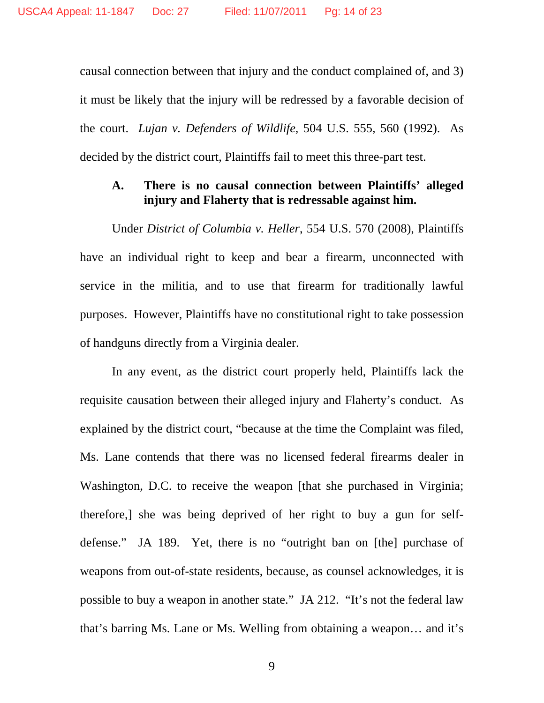causal connection between that injury and the conduct complained of, and 3) it must be likely that the injury will be redressed by a favorable decision of the court. *Lujan v. Defenders of Wildlife*, 504 U.S. 555, 560 (1992). As decided by the district court, Plaintiffs fail to meet this three-part test.

## **A. There is no causal connection between Plaintiffs' alleged injury and Flaherty that is redressable against him.**

Under *District of Columbia v. Heller*, 554 U.S. 570 (2008), Plaintiffs have an individual right to keep and bear a firearm, unconnected with service in the militia, and to use that firearm for traditionally lawful purposes. However, Plaintiffs have no constitutional right to take possession of handguns directly from a Virginia dealer.

In any event, as the district court properly held, Plaintiffs lack the requisite causation between their alleged injury and Flaherty's conduct. As explained by the district court, "because at the time the Complaint was filed, Ms. Lane contends that there was no licensed federal firearms dealer in Washington, D.C. to receive the weapon [that she purchased in Virginia; therefore,] she was being deprived of her right to buy a gun for selfdefense." JA 189. Yet, there is no "outright ban on [the] purchase of weapons from out-of-state residents, because, as counsel acknowledges, it is possible to buy a weapon in another state." JA 212. "It's not the federal law that's barring Ms. Lane or Ms. Welling from obtaining a weapon… and it's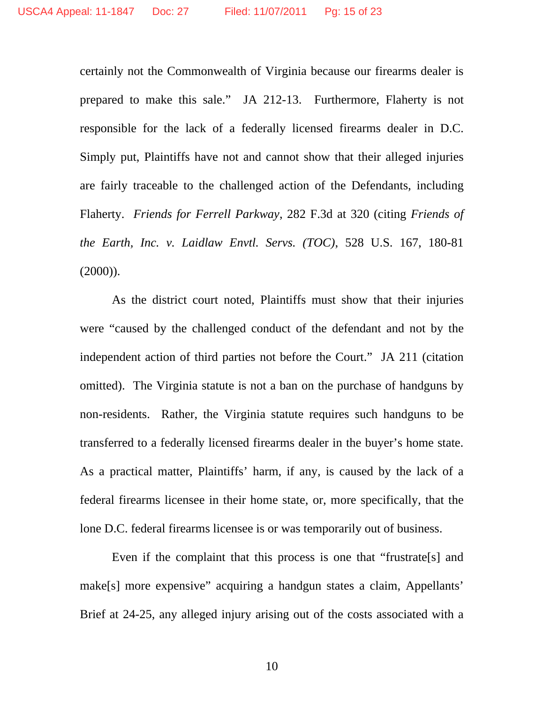certainly not the Commonwealth of Virginia because our firearms dealer is prepared to make this sale." JA 212-13. Furthermore, Flaherty is not responsible for the lack of a federally licensed firearms dealer in D.C. Simply put, Plaintiffs have not and cannot show that their alleged injuries are fairly traceable to the challenged action of the Defendants, including Flaherty. *Friends for Ferrell Parkway*, 282 F.3d at 320 (citing *Friends of the Earth, Inc. v. Laidlaw Envtl. Servs. (TOC)*, 528 U.S. 167, 180-81  $(2000)$ ).

As the district court noted, Plaintiffs must show that their injuries were "caused by the challenged conduct of the defendant and not by the independent action of third parties not before the Court." JA 211 (citation omitted). The Virginia statute is not a ban on the purchase of handguns by non-residents. Rather, the Virginia statute requires such handguns to be transferred to a federally licensed firearms dealer in the buyer's home state. As a practical matter, Plaintiffs' harm, if any, is caused by the lack of a federal firearms licensee in their home state, or, more specifically, that the lone D.C. federal firearms licensee is or was temporarily out of business.

Even if the complaint that this process is one that "frustrate [s] and make[s] more expensive" acquiring a handgun states a claim, Appellants' Brief at 24-25, any alleged injury arising out of the costs associated with a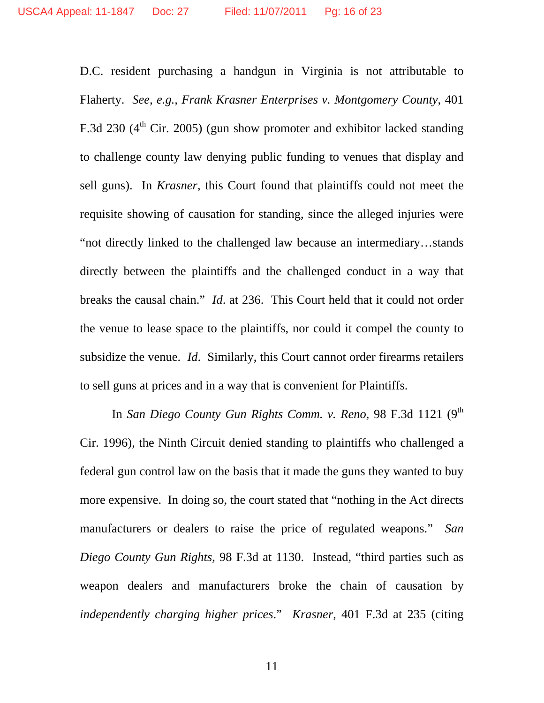D.C. resident purchasing a handgun in Virginia is not attributable to Flaherty. *See, e.g., Frank Krasner Enterprises v. Montgomery County*, 401 F.3d 230  $(4<sup>th</sup>$  Cir. 2005) (gun show promoter and exhibitor lacked standing to challenge county law denying public funding to venues that display and sell guns). In *Krasner*, this Court found that plaintiffs could not meet the requisite showing of causation for standing, since the alleged injuries were "not directly linked to the challenged law because an intermediary…stands directly between the plaintiffs and the challenged conduct in a way that breaks the causal chain." *Id*. at 236. This Court held that it could not order the venue to lease space to the plaintiffs, nor could it compel the county to subsidize the venue. *Id*. Similarly, this Court cannot order firearms retailers to sell guns at prices and in a way that is convenient for Plaintiffs.

In *San Diego County Gun Rights Comm. v. Reno*, 98 F.3d 1121 (9<sup>th</sup>) Cir. 1996), the Ninth Circuit denied standing to plaintiffs who challenged a federal gun control law on the basis that it made the guns they wanted to buy more expensive. In doing so, the court stated that "nothing in the Act directs manufacturers or dealers to raise the price of regulated weapons." *San Diego County Gun Rights*, 98 F.3d at 1130. Instead, "third parties such as weapon dealers and manufacturers broke the chain of causation by *independently charging higher prices*." *Krasner*, 401 F.3d at 235 (citing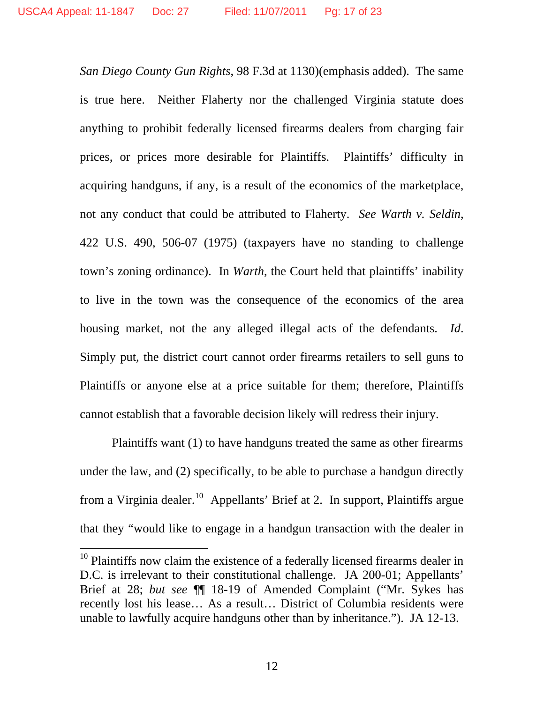*San Diego County Gun Rights*, 98 F.3d at 1130)(emphasis added). The same is true here. Neither Flaherty nor the challenged Virginia statute does anything to prohibit federally licensed firearms dealers from charging fair prices, or prices more desirable for Plaintiffs. Plaintiffs' difficulty in acquiring handguns, if any, is a result of the economics of the marketplace, not any conduct that could be attributed to Flaherty. *See Warth v. Seldin*, 422 U.S. 490, 506-07 (1975) (taxpayers have no standing to challenge town's zoning ordinance). In *Warth*, the Court held that plaintiffs' inability to live in the town was the consequence of the economics of the area housing market, not the any alleged illegal acts of the defendants. *Id*. Simply put, the district court cannot order firearms retailers to sell guns to Plaintiffs or anyone else at a price suitable for them; therefore, Plaintiffs cannot establish that a favorable decision likely will redress their injury.

Plaintiffs want (1) to have handguns treated the same as other firearms under the law, and (2) specifically, to be able to purchase a handgun directly from a Virginia dealer.<sup>10</sup> Appellants' Brief at 2. In support, Plaintiffs argue that they "would like to engage in a handgun transaction with the dealer in

 $10$  Plaintiffs now claim the existence of a federally licensed firearms dealer in D.C. is irrelevant to their constitutional challenge. JA 200-01; Appellants' Brief at 28; *but see* ¶¶ 18-19 of Amended Complaint ("Mr. Sykes has recently lost his lease… As a result… District of Columbia residents were unable to lawfully acquire handguns other than by inheritance."). JA 12-13.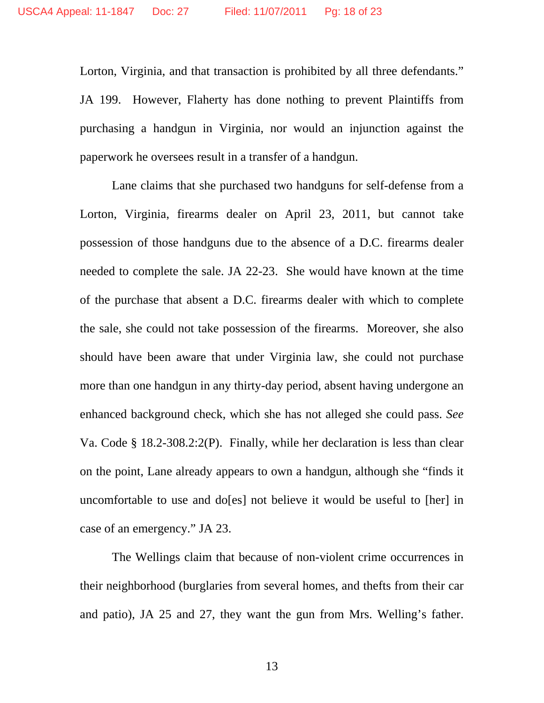Lorton, Virginia, and that transaction is prohibited by all three defendants." JA 199. However, Flaherty has done nothing to prevent Plaintiffs from purchasing a handgun in Virginia, nor would an injunction against the paperwork he oversees result in a transfer of a handgun.

 Lane claims that she purchased two handguns for self-defense from a Lorton, Virginia, firearms dealer on April 23, 2011, but cannot take possession of those handguns due to the absence of a D.C. firearms dealer needed to complete the sale. JA 22-23. She would have known at the time of the purchase that absent a D.C. firearms dealer with which to complete the sale, she could not take possession of the firearms. Moreover, she also should have been aware that under Virginia law, she could not purchase more than one handgun in any thirty-day period, absent having undergone an enhanced background check, which she has not alleged she could pass. *See*  Va. Code § 18.2-308.2:2(P). Finally, while her declaration is less than clear on the point, Lane already appears to own a handgun, although she "finds it uncomfortable to use and do[es] not believe it would be useful to [her] in case of an emergency." JA 23.

 The Wellings claim that because of non-violent crime occurrences in their neighborhood (burglaries from several homes, and thefts from their car and patio), JA 25 and 27, they want the gun from Mrs. Welling's father.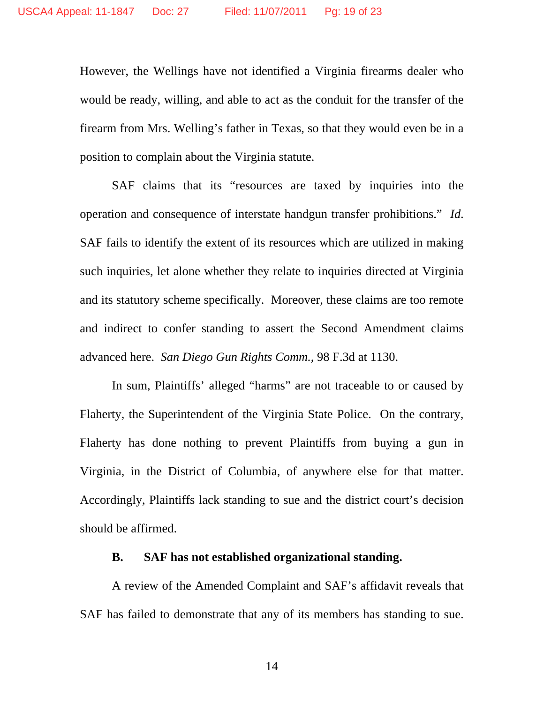However, the Wellings have not identified a Virginia firearms dealer who would be ready, willing, and able to act as the conduit for the transfer of the firearm from Mrs. Welling's father in Texas, so that they would even be in a position to complain about the Virginia statute.

SAF claims that its "resources are taxed by inquiries into the operation and consequence of interstate handgun transfer prohibitions." *Id*. SAF fails to identify the extent of its resources which are utilized in making such inquiries, let alone whether they relate to inquiries directed at Virginia and its statutory scheme specifically. Moreover, these claims are too remote and indirect to confer standing to assert the Second Amendment claims advanced here. *San Diego Gun Rights Comm.*, 98 F.3d at 1130.

 In sum, Plaintiffs' alleged "harms" are not traceable to or caused by Flaherty, the Superintendent of the Virginia State Police. On the contrary, Flaherty has done nothing to prevent Plaintiffs from buying a gun in Virginia, in the District of Columbia, of anywhere else for that matter. Accordingly, Plaintiffs lack standing to sue and the district court's decision should be affirmed.

### **B. SAF has not established organizational standing.**

A review of the Amended Complaint and SAF's affidavit reveals that SAF has failed to demonstrate that any of its members has standing to sue.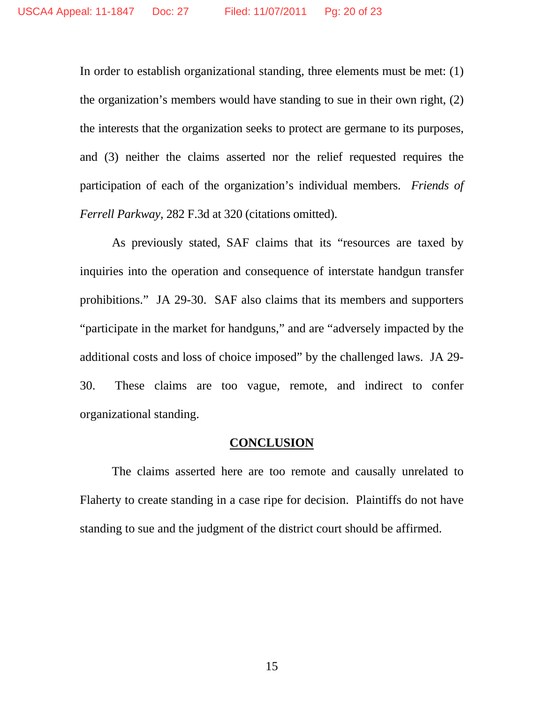In order to establish organizational standing, three elements must be met: (1) the organization's members would have standing to sue in their own right, (2) the interests that the organization seeks to protect are germane to its purposes, and (3) neither the claims asserted nor the relief requested requires the participation of each of the organization's individual members. *Friends of Ferrell Parkway*, 282 F.3d at 320 (citations omitted).

As previously stated, SAF claims that its "resources are taxed by inquiries into the operation and consequence of interstate handgun transfer prohibitions." JA 29-30. SAF also claims that its members and supporters "participate in the market for handguns," and are "adversely impacted by the additional costs and loss of choice imposed" by the challenged laws. JA 29- 30. These claims are too vague, remote, and indirect to confer organizational standing.

#### **CONCLUSION**

The claims asserted here are too remote and causally unrelated to Flaherty to create standing in a case ripe for decision. Plaintiffs do not have standing to sue and the judgment of the district court should be affirmed.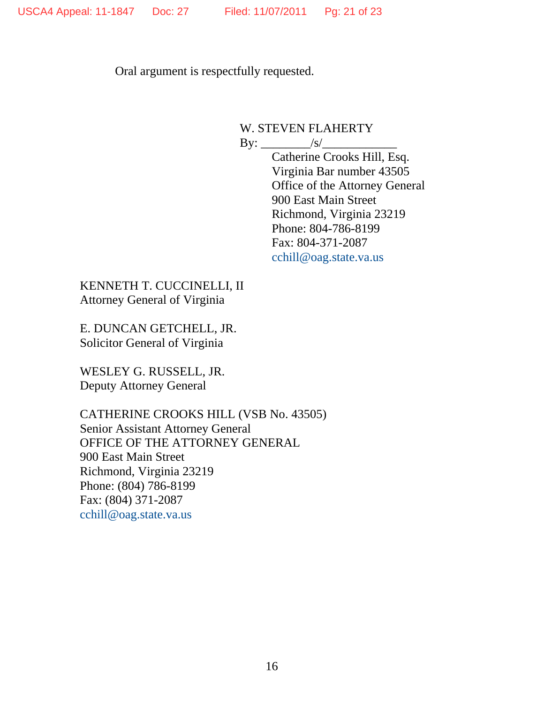Oral argument is respectfully requested.

W. STEVEN FLAHERTY By: \_\_\_\_\_\_\_\_/s/\_\_\_\_\_\_\_\_\_\_\_\_

 Catherine Crooks Hill, Esq. Virginia Bar number 43505 Office of the Attorney General 900 East Main Street Richmond, Virginia 23219 Phone: 804-786-8199 Fax: 804-371-2087 cchill@oag.state.va.us

KENNETH T. CUCCINELLI, II Attorney General of Virginia

E. DUNCAN GETCHELL, JR. Solicitor General of Virginia

WESLEY G. RUSSELL, JR. Deputy Attorney General

CATHERINE CROOKS HILL (VSB No. 43505) Senior Assistant Attorney General OFFICE OF THE ATTORNEY GENERAL 900 East Main Street Richmond, Virginia 23219 Phone: (804) 786-8199 Fax: (804) 371-2087 cchill@oag.state.va.us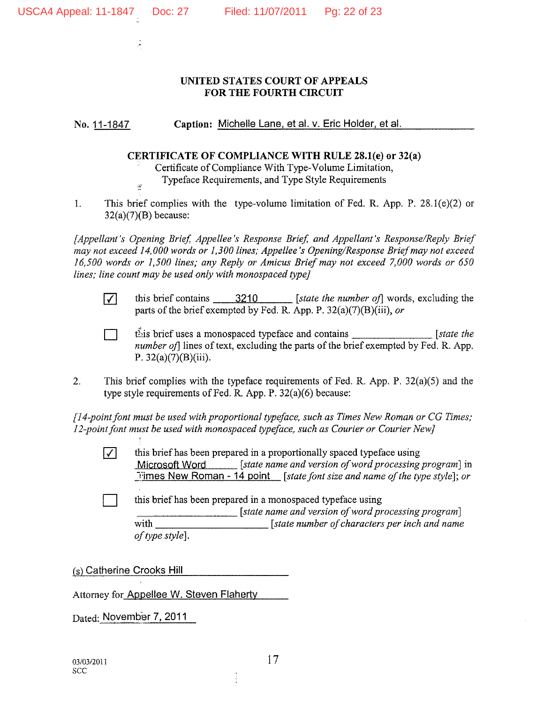Ŵ

ş

#### UNITED STATES COURT OF APPEALS FOR THE FOURTH CIRCUIT

Caption: Michelle Lane, et al. v. Eric Holder, et al. No. 11-1847

#### CERTIFICATE OF COMPLIANCE WITH RULE 28.1(e) or 32(a)

Certificate of Compliance With Type-Volume Limitation, Typeface Requirements, and Type Style Requirements

 $\mathbf{1}$ This brief complies with the type-volume limitation of Fed. R. App. P.  $28.1(e)(2)$  or  $32(a)(7)(B)$  because:

[Appellant's Opening Brief, Appellee's Response Brief, and Appellant's Response/Reply Brief may not exceed 14,000 words or 1,300 lines; Appellee's Opening/Response Brief may not exceed 16,500 words or 1,500 lines; any Reply or Amicus Brief may not exceed 7,000 words or 650 lines; line count may be used only with monospaced type]

 $\overline{\mathcal{M}}$ 

this brief contains  $\qquad$  3210 [state the number of] words, excluding the parts of the brief exempted by Fed. R. App. P.  $32(a)(7)(B)(iii)$ , or

this brief uses a monospaced typeface and contains  $[state the$ *number of* lines of text, excluding the parts of the brief exempted by Fed. R. App. P.  $32(a)(7)(B)(iii)$ .

 $\overline{2}$ . This brief complies with the typeface requirements of Fed. R. App. P.  $32(a)(5)$  and the type style requirements of Fed. R. App. P.  $32(a)(6)$  because:

[14-point font must be used with proportional typeface, such as Times New Roman or CG Times; 12-point font must be used with monospaced typeface, such as Courier or Courier New]

- $\sqrt{}$ this brief has been prepared in a proportionally spaced typeface using Microsoft Word [state name and version of word processing program] in Times New Roman - 14 point [state font size and name of the type style]; or
	- this brief has been prepared in a monospaced typeface using [state name and version of word processing program] with [state number of characters per inch and name of type style].

(s) Catherine Crooks Hill

Attorney for Appellee W. Steven Flaherty

Dated: November 7, 2011

17

Î